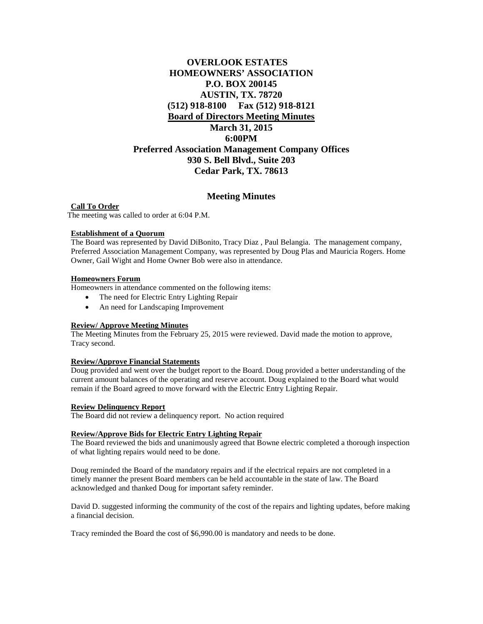# **OVERLOOK ESTATES HOMEOWNERS' ASSOCIATION P.O. BOX 200145 AUSTIN, TX. 78720 (512) 918-8100 Fax (512) 918-8121 Board of Directors Meeting Minutes March 31, 2015 6:00PM Preferred Association Management Company Offices 930 S. Bell Blvd., Suite 203 Cedar Park, TX. 78613**

# **Meeting Minutes**

**Call To Order** The meeting was called to order at 6:04 P.M.

#### **Establishment of a Quorum**

The Board was represented by David DiBonito, Tracy Diaz , Paul Belangia. The management company, Preferred Association Management Company, was represented by Doug Plas and Mauricia Rogers. Home Owner, Gail Wight and Home Owner Bob were also in attendance.

## **Homeowners Forum**

Homeowners in attendance commented on the following items:

- The need for Electric Entry Lighting Repair
- An need for Landscaping Improvement

# **Review/ Approve Meeting Minutes**

The Meeting Minutes from the February 25, 2015 were reviewed. David made the motion to approve, Tracy second.

#### **Review/Approve Financial Statements**

Doug provided and went over the budget report to the Board. Doug provided a better understanding of the current amount balances of the operating and reserve account. Doug explained to the Board what would remain if the Board agreed to move forward with the Electric Entry Lighting Repair.

#### **Review Delinquency Report**

The Board did not review a delinquency report. No action required

#### **Review/Approve Bids for Electric Entry Lighting Repair**

The Board reviewed the bids and unanimously agreed that Bowne electric completed a thorough inspection of what lighting repairs would need to be done.

Doug reminded the Board of the mandatory repairs and if the electrical repairs are not completed in a timely manner the present Board members can be held accountable in the state of law. The Board acknowledged and thanked Doug for important safety reminder.

David D. suggested informing the community of the cost of the repairs and lighting updates, before making a financial decision.

Tracy reminded the Board the cost of \$6,990.00 is mandatory and needs to be done.